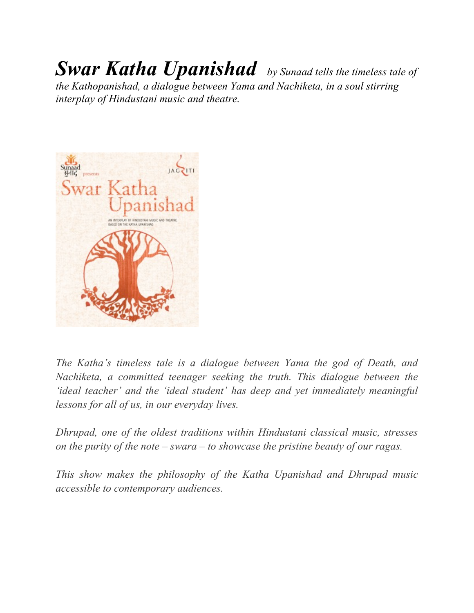## *Swar Katha Upanishad by Sunaad tells the timeless tale of*

*the Kathopanishad, a dialogue between Yama and Nachiketa, in a soul stirring interplay of Hindustani music and theatre.* 



*The Katha's timeless tale is a dialogue between Yama the god of Death, and Nachiketa, a committed teenager seeking the truth. This dialogue between the 'ideal teacher' and the 'ideal student' has deep and yet immediately meaningful lessons for all of us, in our everyday lives.*

*Dhrupad, one of the oldest traditions within Hindustani classical music, stresses on the purity of the note – swara – to showcase the pristine beauty of our ragas.*

*This show makes the philosophy of the Katha Upanishad and Dhrupad music accessible to contemporary audiences.*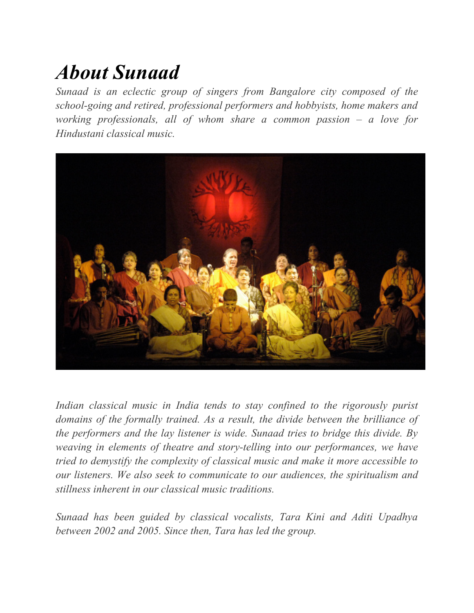## *About Sunaad*

*Sunaad is an eclectic group of singers from Bangalore city composed of the school-going and retired, professional performers and hobbyists, home makers and working professionals, all of whom share a common passion – a love for Hindustani classical music.*



*Indian classical music in India tends to stay confined to the rigorously purist domains of the formally trained. As a result, the divide between the brilliance of the performers and the lay listener is wide. Sunaad tries to bridge this divide. By weaving in elements of theatre and story-telling into our performances, we have tried to demystify the complexity of classical music and make it more accessible to our listeners. We also seek to communicate to our audiences, the spiritualism and stillness inherent in our classical music traditions.*

*Sunaad has been guided by classical vocalists, Tara Kini and Aditi Upadhya between 2002 and 2005. Since then, Tara has led the group.*